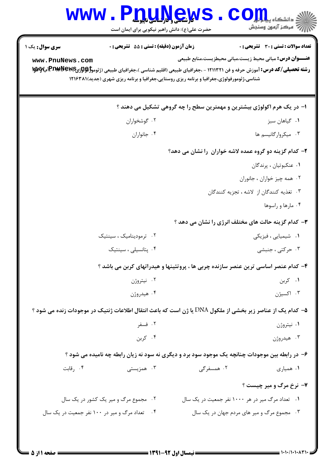|                                                                                                                                                                                                                                                     | الأرشعي الرابيات بإيرال<br>حضرت علی(ع): دانش راهبر نیکویی برای ایمان است | دانشگاه بی <mark>ا پ</mark><br>بہ مرڪز آزمون وسنجش                                              |
|-----------------------------------------------------------------------------------------------------------------------------------------------------------------------------------------------------------------------------------------------------|--------------------------------------------------------------------------|-------------------------------------------------------------------------------------------------|
| <b>سری سوال :</b> یک ۱                                                                                                                                                                                                                              | <b>زمان آزمون (دقیقه) : تستی : 55 تشریحی : 0</b>                         | تعداد سوالات : تستى : 30 - تشريحي : 0                                                           |
| www.PnuNews.com<br><b>رشته تحصیلی/کد درس:</b> آموزش حرفه و فن ۱۲۱۱۳۲۱ - ،جغرافیای طبیعی (اقلیم شناسی )،جغرافیای طبیعی (ژئوموگول <b>ټوچP£PA)آب۷W</b> آب<br>شناسی،ژئومورفولوژی،جغرافیا و برنامه ریزی روستایی،جغرافیا و برنامه ریزی شهری (جدید)۱۲۱۶۳۸۱ |                                                                          | <b>عنـــوان درس:</b> مبانی محیط زیست،مبانی محیطزیست،منابع طبیعی                                 |
|                                                                                                                                                                                                                                                     |                                                                          | ا- در یک هرم اکولوژی بیشترین و مهمترین سطح را چه گروهی تشکیل می دهند ؟                          |
| ۰۲ گوشخواران                                                                                                                                                                                                                                        |                                                                          | ۰۱ گیاهان سبز                                                                                   |
| ۰۴ جانواران                                                                                                                                                                                                                                         |                                                                          | ۰۳ میکروارگانیسم ها                                                                             |
|                                                                                                                                                                                                                                                     |                                                                          | ۲- کدام گزینه دو گروه عمده لاشه خواران را نشان می دهد؟                                          |
|                                                                                                                                                                                                                                                     |                                                                          | ٠١ عنكبوتيان ، پرندگان                                                                          |
|                                                                                                                                                                                                                                                     |                                                                          | ۰۲ همه چیز خواران ، جانوران                                                                     |
|                                                                                                                                                                                                                                                     |                                                                          | ۰۳ تغذیه کنندگان از لاشه ، تجزیه کنندگان                                                        |
|                                                                                                                                                                                                                                                     |                                                                          | ۰۴ مارها و راسوها                                                                               |
|                                                                                                                                                                                                                                                     |                                                                          | ۳- کدام گزینه حالت های مختلف انرژی را نشان می دهد ؟                                             |
| ۰۲ ترمودینامیک ، سینتیک                                                                                                                                                                                                                             |                                                                          | ۰۱ شیمیایی ، فیزیکی                                                                             |
| ۰۴ پتانسیلی ، سینتیک                                                                                                                                                                                                                                |                                                                          | ۰۳ حرکتی ، جنبشی                                                                                |
|                                                                                                                                                                                                                                                     |                                                                          | ۴– کدام عنصر اساسی ترین عنصر سازنده چربی ها ، پروتئینها و هیدراتهای کربن می باشد ؟              |
| ۰۲ نیتروژن                                                                                                                                                                                                                                          |                                                                          | ۰۱ کربن                                                                                         |
| ۰۴ هيدروژن                                                                                                                                                                                                                                          |                                                                          | ۰۳ اکسیژن                                                                                       |
| ۵− كدام يك از عناصر زير بخشي از ملكول DNA يا ژن است كه باعث انتقال اطلاعات ژنتيك در موجودات زنده مي شود ؟                                                                                                                                           |                                                                          |                                                                                                 |
| ۰۲ فسفر                                                                                                                                                                                                                                             |                                                                          | ۰۱ نیتروژن                                                                                      |
| ۰۴ کربن                                                                                                                                                                                                                                             |                                                                          | ۰۳ هيدروژن                                                                                      |
|                                                                                                                                                                                                                                                     |                                                                          | ۶- در رابطه بین موجودات چنانچه یک موجود سود برد و دیگری نه سود نه زیان رابطه چه نامیده می شود ؟ |
| ۰۴ رقابت<br>۰۳ همزیستی                                                                                                                                                                                                                              |                                                                          | ۰۲ همسفرگی<br>۰۱ همیاری                                                                         |
|                                                                                                                                                                                                                                                     |                                                                          | <b>۷- نرخ مرگ و میر چیست ؟</b>                                                                  |
| ۰۲ مجموع مرگ و میر یک کشور در یک سال                                                                                                                                                                                                                |                                                                          | ۰۱ تعداد مرگ میر در هر ۱۰۰۰ نفر جمعیت در یک سال                                                 |
| ۰۴ تعداد مرگ و میر در ۱۰۰ نفر جمعیت در یک سال                                                                                                                                                                                                       |                                                                          | ۰۳ مجموع مرگ و میر های مردم جهان در یک سال                                                      |
|                                                                                                                                                                                                                                                     |                                                                          |                                                                                                 |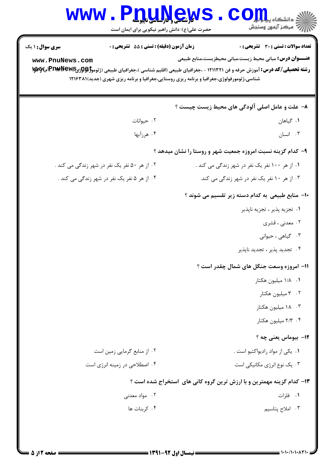| <b>WWW</b>                                                                                                                                             | <b>WE SHARE AND THE T</b><br>حضرت علی(ع): دانش راهبر نیکویی برای ایمان است                | رآب آمرڪز آزمون وسنڊش                                                 |  |
|--------------------------------------------------------------------------------------------------------------------------------------------------------|-------------------------------------------------------------------------------------------|-----------------------------------------------------------------------|--|
| <b>سری سوال :</b> ۱ یک                                                                                                                                 | <b>زمان آزمون (دقیقه) : تستی : 55 تشریحی : 0</b>                                          | تعداد سوالات : تستى : 30 ٪ تشريحي : 0                                 |  |
| www.PnuNews.com<br><b>رشته تحصیلی/کد درس:</b> آموزش حرفه و فن ۱۲۱۱۳۲۱ - ،جغرافیای طبیعی (اقلیم شناسی )،جغرافیای طبیعی (ژئوموگول <b>ټوچP£PA)آب۷W</b> آب | شناسی،ژئومورفولوژی،جغرافیا و برنامه ریزی روستایی،جغرافیا و برنامه ریزی شهری (جدید)۱۲۱۶۳۸۱ | <b>عنـــوان درس:</b> مبانی محیط زیست،مبانی محیطزیست،منابع طبیعی       |  |
|                                                                                                                                                        |                                                                                           | ۸- علت و عامل اصلی آلودگی های محیط زیست چیست ؟                        |  |
|                                                                                                                                                        | ۰۲ حیوانات                                                                                | ۰۱ گیاهان                                                             |  |
| ۰۴ هرزآبها                                                                                                                                             |                                                                                           | ۰۳ انسان                                                              |  |
|                                                                                                                                                        |                                                                                           | ۹- کدام گزینه نسبت امروزه جمعیت شهر و روستا را نشان میدهد ؟           |  |
| ۰۲ از هر ۵۰ نفر یک نفر در شهر زندگی می کند .                                                                                                           |                                                                                           | ۰۱ از هر ۱۰۰ نفر یک نفر در شهر زندگی می کند .                         |  |
| ۰۴ از هر ۵ نفر یک نفر در شهر زندگی می کند .                                                                                                            |                                                                                           | ۰۳ از هر ۱۰ نفر یک نفر در شهر زندگی می کند.                           |  |
|                                                                                                                                                        |                                                                                           | ۱۰– منابع طبیعی به کدام دسته زیر تقسیم می شوند ؟                      |  |
|                                                                                                                                                        |                                                                                           | ٠١ تجزيه پذير ، تجزيه ناپذير                                          |  |
|                                                                                                                                                        |                                                                                           | ۰۲ معدنی ، قشری                                                       |  |
|                                                                                                                                                        |                                                                                           | ۰۳ گیاهی ، حیوانی                                                     |  |
|                                                                                                                                                        |                                                                                           | ۰۴ تجدید پذیر ، تجدید ناپذیر                                          |  |
|                                                                                                                                                        |                                                                                           | 11- امروزه وسعت جنگل های شمال چقدر است ؟                              |  |
|                                                                                                                                                        |                                                                                           | ۰۱ ۱/۸ میلیون هکتار                                                   |  |
|                                                                                                                                                        |                                                                                           | ۰۲ میلیون هکتار                                                       |  |
|                                                                                                                                                        |                                                                                           | ۰۳ ۱۸ میلیون هکتار                                                    |  |
|                                                                                                                                                        |                                                                                           | ۰۴ ۲/۳ میلیون هکتار                                                   |  |
|                                                                                                                                                        |                                                                                           | 12- بیوماس یعنی چه ؟                                                  |  |
|                                                                                                                                                        | ۰۲ از منابع گرمایی زمین است                                                               | ۰۱ یکی از مواد رادیواکتیو است .                                       |  |
|                                                                                                                                                        | ۰۴ اصطلاحی در زمینه انرژی است                                                             | ۰۳ یک نوع انرژی مکانیکی است                                           |  |
|                                                                                                                                                        |                                                                                           | ۱۳- کدام گزینه مهمترین و با ارزش ترین گروه کانی های آستخراج شده است ؟ |  |
|                                                                                                                                                        | ۰۲ مواد معدن <i>ی</i>                                                                     | ۰۱ فلزات                                                              |  |
|                                                                                                                                                        | ۰۴ کربنات ها                                                                              | ۰۳ املاح پتاسيم                                                       |  |
|                                                                                                                                                        |                                                                                           |                                                                       |  |
|                                                                                                                                                        |                                                                                           |                                                                       |  |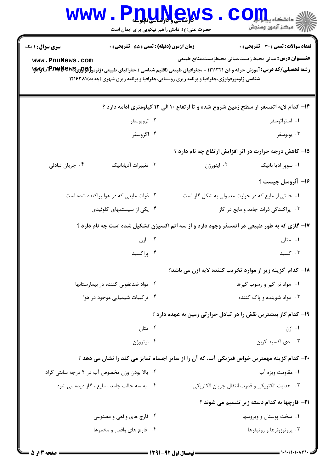|                                                                                                                                                                                                                     | <b>۷۷ شمسی و در اساسی ناپلوسله</b><br>حضرت علی(ع): دانش راهبر نیکویی برای ایمان است |                                                                                             | ه دانشگاه پ <b>یا با</b><br>ر آمرڪز آزمون وسنڊش     |  |  |  |
|---------------------------------------------------------------------------------------------------------------------------------------------------------------------------------------------------------------------|-------------------------------------------------------------------------------------|---------------------------------------------------------------------------------------------|-----------------------------------------------------|--|--|--|
| <b>سری سوال : ۱ یک</b><br>www.PnuNews.com                                                                                                                                                                           | <b>زمان آزمون (دقیقه) : تستی : 55 تشریحی : 0</b>                                    | <b>عنـــوان درس:</b> مبانی محیط زیست،مبانی محیطزیست،منابع طبیعی                             | تعداد سوالات : تستى : 30 ٪ تشريحي : 0               |  |  |  |
| <b>رشته تحصیلی/کد درس:</b> آموزش حرفه و فن ۱۲۱۱۳۲۱ - ،جغرافیای طبیعی (اقلیم شناسی )،جغرافیای طبیعی (ژئوموگولوژیPIA4New<br>شناسی،ژئومورفولوژی،جغرافیا و برنامه ریزی روستایی،جغرافیا و برنامه ریزی شهری (جدید)۱۲۱۶۳۸۱ |                                                                                     |                                                                                             |                                                     |  |  |  |
|                                                                                                                                                                                                                     |                                                                                     | ۱۴- کدام لایه اتمسفر از سطح زمین شروع شده و تا ارتفاع ۱۰ الی ۱۲ کیلومتری ادامه دارد ؟       |                                                     |  |  |  |
|                                                                                                                                                                                                                     | ۰۲ تروپوسفر                                                                         |                                                                                             | ۰۱ استراتوسفر                                       |  |  |  |
|                                                                                                                                                                                                                     | ۰۴ اگزوسفر                                                                          |                                                                                             | ۰۳ يونوسفر                                          |  |  |  |
|                                                                                                                                                                                                                     | ۱۵– کاهش درجه حرارت در اثر افزایش ارتفاع چه نام دارد ؟                              |                                                                                             |                                                     |  |  |  |
| ۰۴ جريان تبادلي                                                                                                                                                                                                     | ۰۳ تغییرات آدیاباتیک                                                                | ۰۲ اینورژن                                                                                  | ۰۱ سوپر ادیا باتیک                                  |  |  |  |
|                                                                                                                                                                                                                     |                                                                                     |                                                                                             | ۱۶- آئروسل چیست ؟                                   |  |  |  |
|                                                                                                                                                                                                                     | ۰۲ ذرات مایعی که در هوا پراکنده شده است                                             | ۰۱ حالتی از مایع که در حرارت معمولی به شکل گاز است                                          |                                                     |  |  |  |
|                                                                                                                                                                                                                     | ۰۴ یکی از سیستمهای کلوئیدی                                                          |                                                                                             | ۰۳ پراکندگی ذرات جامد و مایع در گاز                 |  |  |  |
|                                                                                                                                                                                                                     |                                                                                     | ۱۷- گازی که به طور طبیعی در اتمسفر وجود دارد و از سه اتم اکسیژن تشکیل شده است چه نام دارد ؟ |                                                     |  |  |  |
|                                                                                                                                                                                                                     | ۰۲ ازن                                                                              |                                                                                             | ۰۱ متان                                             |  |  |  |
|                                                                                                                                                                                                                     | ۰۴ پراکسید                                                                          |                                                                                             | ۰۳ اکسید                                            |  |  |  |
|                                                                                                                                                                                                                     |                                                                                     | <b>۱۸</b> – کدام گزینه زیر از موارد تخریب کننده لایه ازن می باشد؟                           |                                                     |  |  |  |
| ۰۲ مواد ضدعفونی کننده در بیمارستانها                                                                                                                                                                                |                                                                                     | ۰۱ مواد نم گیر و رسوب گیرها                                                                 |                                                     |  |  |  |
| ۰۴ ترکیبات شیمیایی موجود در هوا                                                                                                                                                                                     |                                                                                     | ۰۳ مواد شوینده و پاک کننده                                                                  |                                                     |  |  |  |
|                                                                                                                                                                                                                     |                                                                                     | ۱۹- کدام گاز بیشترین نقش را در تبادل حرارتی زمین به عهده دارد ؟                             |                                                     |  |  |  |
|                                                                                                                                                                                                                     | ۰۲ متان                                                                             |                                                                                             | ۰۱ ازن                                              |  |  |  |
|                                                                                                                                                                                                                     | ۰۴ نيتروژن                                                                          |                                                                                             | ۰۳ دی اکسید کربن                                    |  |  |  |
| ۲۰- کدام گزینه مهمترین خواص فیزیکی آب، که آن را از سایر اجسام تمایز می کند را نشان می دهد ؟                                                                                                                         |                                                                                     |                                                                                             |                                                     |  |  |  |
|                                                                                                                                                                                                                     | ۰۲ بالا بودن وزن مخصوص آب در ۴ درجه سانتی گراد                                      |                                                                                             | ۰۱ مقاومت ویژه آب                                   |  |  |  |
|                                                                                                                                                                                                                     | ۰۴ به سه حالت جامد ، مایع ، گاز دیده می شود                                         |                                                                                             | ٠٣ هدايت الكتريكي و قدرت انتقال جريان الكتريكي      |  |  |  |
|                                                                                                                                                                                                                     |                                                                                     |                                                                                             | <b>۲۱</b> - قارچها به کدام دسته زیر تقسیم می شوند ؟ |  |  |  |
|                                                                                                                                                                                                                     | ۰۲ قارچ های واقعی و مصنوعی                                                          |                                                                                             | ۰۱ سخت پوستان و ویروسها                             |  |  |  |
|                                                                                                                                                                                                                     | ۰۴ قارچ های واقعی و مخمرها                                                          |                                                                                             | ۰۳ پروتوزوئرها و روتيفرها                           |  |  |  |
|                                                                                                                                                                                                                     |                                                                                     |                                                                                             |                                                     |  |  |  |

4 L .

51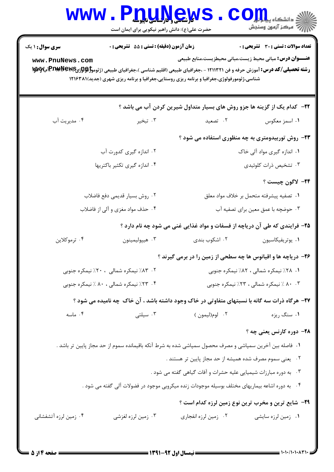| <b>WWW</b>                                                                                   | <b>V SALLY SALV</b><br>حضرت علی(ع): دانش راهبر نیکویی برای ایمان است |                                                                                                         | دانشکا ه پ <b>یا با با<mark>ر</mark></b><br>راز آمرڪز آزمون وسنڊش                |  |
|----------------------------------------------------------------------------------------------|----------------------------------------------------------------------|---------------------------------------------------------------------------------------------------------|----------------------------------------------------------------------------------|--|
| <b>سری سوال : ۱ یک</b>                                                                       | زمان آزمون (دقيقه) : تستى : 55 تشريحى : 0                            |                                                                                                         | تعداد سوالات : تستى : 30 قشريحى : 0                                              |  |
| www.PnuNews.com                                                                              |                                                                      | شناسی،ژئومورفولوژی،جغرافیا و برنامه ریزی روستایی،جغرافیا و برنامه ریزی شهری (جدید)۱۲۱۶۳۸۱               | <b>عنــــوان درس:</b> مبانی محیط زیست،مبانی محیطزیست،منابع طبیعی                 |  |
|                                                                                              |                                                                      |                                                                                                         | <b>۲۲</b> - کدام یک از گزینه ها جزو روش های بسیار متداول شیرین کردن آب می باشد ؟ |  |
| ۰۴ مدیریت آب                                                                                 | ۰۳ تبخير                                                             | ۰۲ تصعید                                                                                                | ۰۱ اسمز معکوس                                                                    |  |
|                                                                                              |                                                                      |                                                                                                         | ۲۳- روش توربیدومتری به چه منظوری استفاده می شود ؟                                |  |
| ۰۲ اندازه گیری کدورت آب                                                                      |                                                                      | ۰۱ اندازه گیری مواد آلی خاک                                                                             |                                                                                  |  |
| ۰۴ اندازه گیری تکثیر باکتریها                                                                |                                                                      |                                                                                                         | ۰۳ تشخیص ذرات کلوئیدی                                                            |  |
|                                                                                              |                                                                      |                                                                                                         | ٢۴– لاگون چيست ؟                                                                 |  |
|                                                                                              | ۰۲ روش بسیار قدیمی دفع فاضلاب                                        |                                                                                                         | ٠١ تصفيه پيشرفته متحمل بر خلاف مواد معلق                                         |  |
|                                                                                              | ۰۴ حذف مواد مغزي و آلي از فاضلاب                                     |                                                                                                         | ۰۳ حوضچه با عمق معین برای تصفیه آب                                               |  |
|                                                                                              |                                                                      |                                                                                                         | ۲۵- فرایندی که طی آن دریاچه از فسفات و مواد غذایی غنی می شود چه نام دارد ؟       |  |
| ۰۴ ترموکلاين                                                                                 | ۰۳ هيپوليمينون                                                       | ۰۲ اشکوب بندی                                                                                           | ٠١ يوتريفيكاسيون                                                                 |  |
|                                                                                              |                                                                      |                                                                                                         | ۲۶- دریاچه ها و اقیانوس ها چه سطحی از زمین را در برمی گیرند ؟                    |  |
| ۰۲ ۸۳٪ نیمکره شمالی ۲۰ ۰٪ نیمکره جنوبی                                                       |                                                                      | ۰۱ ۲۸٪ نیمکره شمالی ، ۸۲٪ نیمکره جنوبی                                                                  |                                                                                  |  |
| ۰۴ . ۲۳٪ نیمکره شمالی ، ۸۰٪ نیمکره جنوبی                                                     |                                                                      | ۰۳ ۸۰٪ نیمکره شمالی ، ۲۳٪ نیمکره جنوبی                                                                  |                                                                                  |  |
| ۲۷- هرگاه ذرات سه گانه با نسبتهای متفاوتی در خاک وجود داشته باشد ، آن خاک چه نامیده می شود ؟ |                                                                      |                                                                                                         |                                                                                  |  |
| ۰۴ ماسه                                                                                      | ۰۳ سیلتی                                                             | ۰۲ لوم(ليمون )                                                                                          | ۰۱ سنگ ريزه                                                                      |  |
|                                                                                              |                                                                      |                                                                                                         | ۲۸– دوره کارنس یعنی چه ؟                                                         |  |
|                                                                                              |                                                                      | ۰۱ فاصله بین آخرین سمپاشی و مصرف محصول سمپاشی شده به شرط آنکه باقیمانده سموم از حد مجاز پایین تر باشد . |                                                                                  |  |
|                                                                                              |                                                                      | ۰۲ يعني سموم مصرف شده هميشه از حد مجاز پايين تر هستند .                                                 |                                                                                  |  |
|                                                                                              |                                                                      | ۰۳ به دوره مبارزات شیمیایی علیه حشرات و آفات گیاهی گفته می شود .                                        |                                                                                  |  |
|                                                                                              |                                                                      | ۰۴ به دوره اشاعه بیماریهای مختلف بوسیله موجودات زنده میکروبی موجود در فضولات آلی گفته می شود .          |                                                                                  |  |
|                                                                                              |                                                                      |                                                                                                         | <b>۲۹</b> - شایع ترین و مخرب ترین نوع زمین لرزه کدام است ؟                       |  |
| ۰۴ زمین لرزه آتشفشانی                                                                        | ۰۳ زمین لرزه لغزشی                                                   | ۰۲ زمین لرزه انفجاری                                                                                    | ۰۱ زمین لرزه سایشی                                                               |  |
|                                                                                              |                                                                      |                                                                                                         |                                                                                  |  |